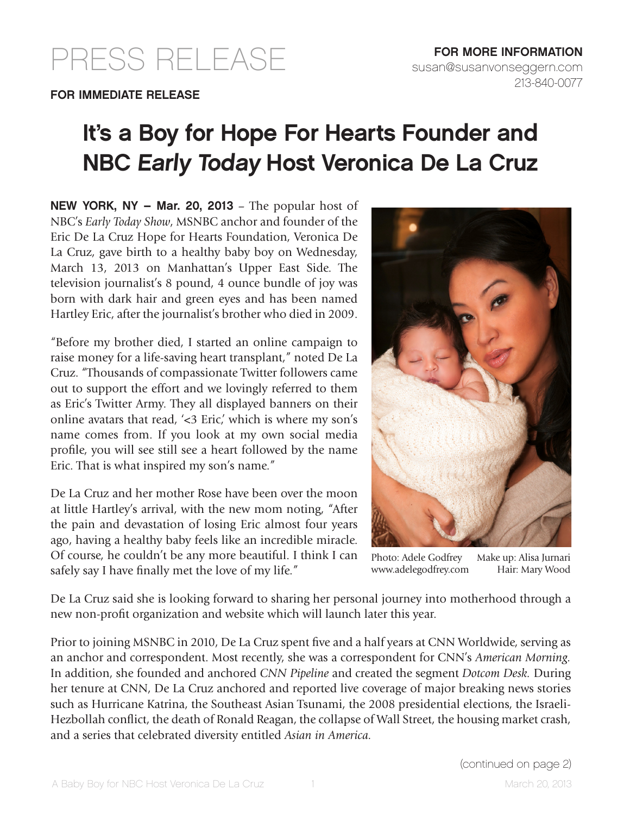## PRESS RELEASE

## It's a Boy for Hope For Hearts Founder and NBC Early Today Host Veronica De La Cruz

NEW YORK, NY – Mar. 20, 2013 – The popular host of NBC's *Early Today Show*, MSNBC anchor and founder of the Eric De La Cruz Hope for Hearts Foundation, Veronica De La Cruz, gave birth to a healthy baby boy on Wednesday, March 13, 2013 on Manhattan's Upper East Side. The television journalist's 8 pound, 4 ounce bundle of joy was born with dark hair and green eyes and has been named Hartley Eric, after the journalist's brother who died in 2009.

"Before my brother died, I started an online campaign to raise money for a life-saving heart transplant," noted De La Cruz. "Thousands of compassionate Twitter followers came out to support the effort and we lovingly referred to them as Eric's Twitter Army. They all displayed banners on their online avatars that read, '<3 Eric,' which is where my son's name comes from. If you look at my own social media profile, you will see still see a heart followed by the name Eric. That is what inspired my son's name."

De La Cruz and her mother Rose have been over the moon at little Hartley's arrival, with the new mom noting, "After the pain and devastation of losing Eric almost four years ago, having a healthy baby feels like an incredible miracle. Of course, he couldn't be any more beautiful. I think I can safely say I have finally met the love of my life."



Photo: Adele Godfrey Make up: Alisa Jurnari www.adelegodfrey.com Hair: Mary Wood

De La Cruz said she is looking forward to sharing her personal journey into motherhood through a new non-profit organization and website which will launch later this year.

Prior to joining MSNBC in 2010, De La Cruz spent five and a half years at CNN Worldwide, serving as an anchor and correspondent. Most recently, she was a correspondent for CNN's *American Morning.*  In addition, she founded and anchored *CNN Pipeline* and created the segment *Dotcom Desk.* During her tenure at CNN, De La Cruz anchored and reported live coverage of major breaking news stories such as Hurricane Katrina, the Southeast Asian Tsunami, the 2008 presidential elections, the Israeli-Hezbollah conflict, the death of Ronald Reagan, the collapse of Wall Street, the housing market crash, and a series that celebrated diversity entitled *Asian in America.*